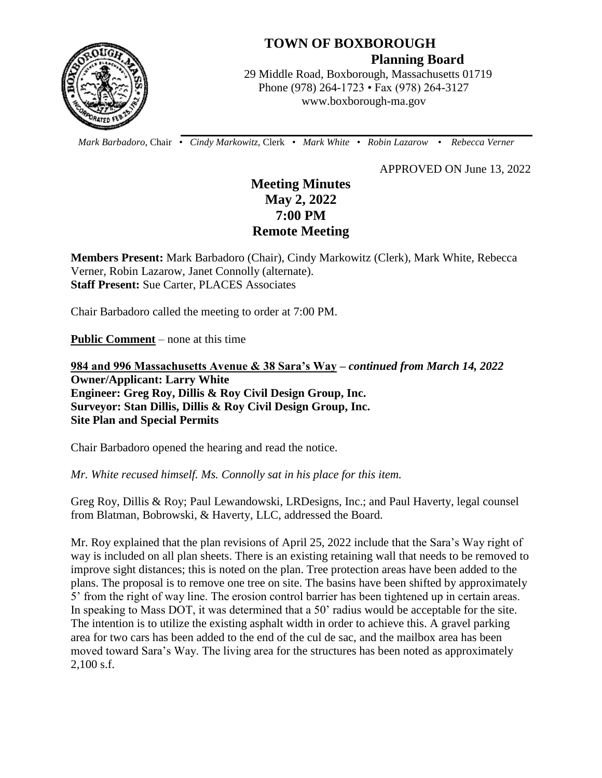

# **TOWN OF BOXBOROUGH**

 **Planning Board**

 29 Middle Road, Boxborough, Massachusetts 01719 Phone (978) 264-1723 • Fax (978) 264-3127 www.boxborough-ma.gov

 *Mark Barbadoro*, Chair • *Cindy Markowitz,* Clerk • *Mark White* • *Robin Lazarow* • *Rebecca Verner*

APPROVED ON June 13, 2022

# **Meeting Minutes May 2, 2022 7:00 PM Remote Meeting**

**Members Present:** Mark Barbadoro (Chair), Cindy Markowitz (Clerk), Mark White, Rebecca Verner, Robin Lazarow, Janet Connolly (alternate). **Staff Present:** Sue Carter, PLACES Associates

Chair Barbadoro called the meeting to order at 7:00 PM.

**Public Comment** – none at this time

**984 and 996 Massachusetts Avenue & 38 Sara's Way –** *continued from March 14, 2022*  **Owner/Applicant: Larry White Engineer: Greg Roy, Dillis & Roy Civil Design Group, Inc. Surveyor: Stan Dillis, Dillis & Roy Civil Design Group, Inc. Site Plan and Special Permits** 

Chair Barbadoro opened the hearing and read the notice.

*Mr. White recused himself. Ms. Connolly sat in his place for this item.*

Greg Roy, Dillis & Roy; Paul Lewandowski, LRDesigns, Inc.; and Paul Haverty, legal counsel from Blatman, Bobrowski, & Haverty, LLC, addressed the Board.

Mr. Roy explained that the plan revisions of April 25, 2022 include that the Sara's Way right of way is included on all plan sheets. There is an existing retaining wall that needs to be removed to improve sight distances; this is noted on the plan. Tree protection areas have been added to the plans. The proposal is to remove one tree on site. The basins have been shifted by approximately 5' from the right of way line. The erosion control barrier has been tightened up in certain areas. In speaking to Mass DOT, it was determined that a 50' radius would be acceptable for the site. The intention is to utilize the existing asphalt width in order to achieve this. A gravel parking area for two cars has been added to the end of the cul de sac, and the mailbox area has been moved toward Sara's Way. The living area for the structures has been noted as approximately 2,100 s.f.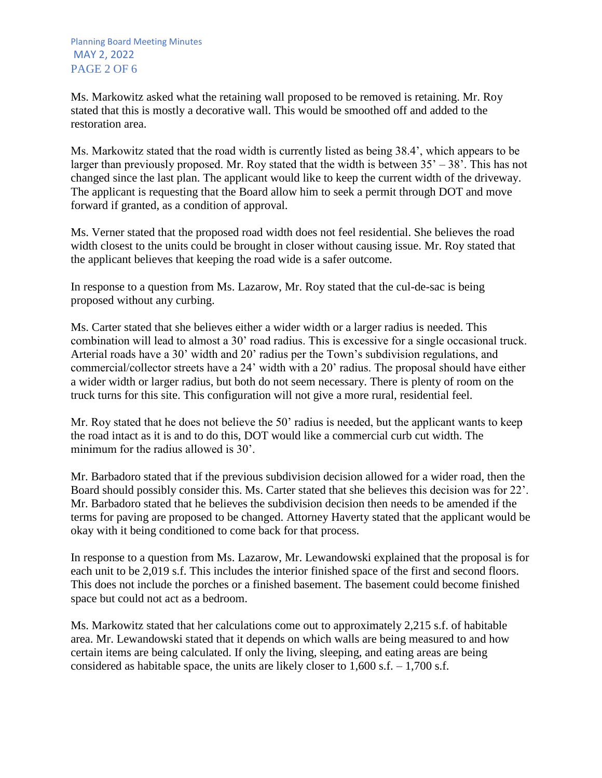Ms. Markowitz asked what the retaining wall proposed to be removed is retaining. Mr. Roy stated that this is mostly a decorative wall. This would be smoothed off and added to the restoration area.

Ms. Markowitz stated that the road width is currently listed as being 38.4', which appears to be larger than previously proposed. Mr. Roy stated that the width is between  $35' - 38'$ . This has not changed since the last plan. The applicant would like to keep the current width of the driveway. The applicant is requesting that the Board allow him to seek a permit through DOT and move forward if granted, as a condition of approval.

Ms. Verner stated that the proposed road width does not feel residential. She believes the road width closest to the units could be brought in closer without causing issue. Mr. Roy stated that the applicant believes that keeping the road wide is a safer outcome.

In response to a question from Ms. Lazarow, Mr. Roy stated that the cul-de-sac is being proposed without any curbing.

Ms. Carter stated that she believes either a wider width or a larger radius is needed. This combination will lead to almost a 30' road radius. This is excessive for a single occasional truck. Arterial roads have a 30' width and 20' radius per the Town's subdivision regulations, and commercial/collector streets have a 24' width with a 20' radius. The proposal should have either a wider width or larger radius, but both do not seem necessary. There is plenty of room on the truck turns for this site. This configuration will not give a more rural, residential feel.

Mr. Roy stated that he does not believe the 50' radius is needed, but the applicant wants to keep the road intact as it is and to do this, DOT would like a commercial curb cut width. The minimum for the radius allowed is 30'.

Mr. Barbadoro stated that if the previous subdivision decision allowed for a wider road, then the Board should possibly consider this. Ms. Carter stated that she believes this decision was for 22'. Mr. Barbadoro stated that he believes the subdivision decision then needs to be amended if the terms for paving are proposed to be changed. Attorney Haverty stated that the applicant would be okay with it being conditioned to come back for that process.

In response to a question from Ms. Lazarow, Mr. Lewandowski explained that the proposal is for each unit to be 2,019 s.f. This includes the interior finished space of the first and second floors. This does not include the porches or a finished basement. The basement could become finished space but could not act as a bedroom.

Ms. Markowitz stated that her calculations come out to approximately 2,215 s.f. of habitable area. Mr. Lewandowski stated that it depends on which walls are being measured to and how certain items are being calculated. If only the living, sleeping, and eating areas are being considered as habitable space, the units are likely closer to  $1,600$  s.f.  $-1,700$  s.f.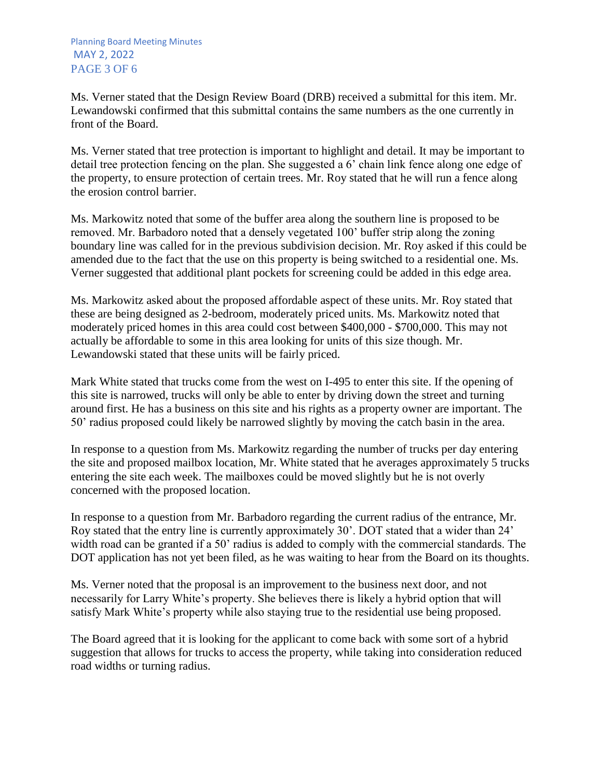Ms. Verner stated that the Design Review Board (DRB) received a submittal for this item. Mr. Lewandowski confirmed that this submittal contains the same numbers as the one currently in front of the Board.

Ms. Verner stated that tree protection is important to highlight and detail. It may be important to detail tree protection fencing on the plan. She suggested a 6' chain link fence along one edge of the property, to ensure protection of certain trees. Mr. Roy stated that he will run a fence along the erosion control barrier.

Ms. Markowitz noted that some of the buffer area along the southern line is proposed to be removed. Mr. Barbadoro noted that a densely vegetated 100' buffer strip along the zoning boundary line was called for in the previous subdivision decision. Mr. Roy asked if this could be amended due to the fact that the use on this property is being switched to a residential one. Ms. Verner suggested that additional plant pockets for screening could be added in this edge area.

Ms. Markowitz asked about the proposed affordable aspect of these units. Mr. Roy stated that these are being designed as 2-bedroom, moderately priced units. Ms. Markowitz noted that moderately priced homes in this area could cost between \$400,000 - \$700,000. This may not actually be affordable to some in this area looking for units of this size though. Mr. Lewandowski stated that these units will be fairly priced.

Mark White stated that trucks come from the west on I-495 to enter this site. If the opening of this site is narrowed, trucks will only be able to enter by driving down the street and turning around first. He has a business on this site and his rights as a property owner are important. The 50' radius proposed could likely be narrowed slightly by moving the catch basin in the area.

In response to a question from Ms. Markowitz regarding the number of trucks per day entering the site and proposed mailbox location, Mr. White stated that he averages approximately 5 trucks entering the site each week. The mailboxes could be moved slightly but he is not overly concerned with the proposed location.

In response to a question from Mr. Barbadoro regarding the current radius of the entrance, Mr. Roy stated that the entry line is currently approximately 30'. DOT stated that a wider than 24' width road can be granted if a 50' radius is added to comply with the commercial standards. The DOT application has not yet been filed, as he was waiting to hear from the Board on its thoughts.

Ms. Verner noted that the proposal is an improvement to the business next door, and not necessarily for Larry White's property. She believes there is likely a hybrid option that will satisfy Mark White's property while also staying true to the residential use being proposed.

The Board agreed that it is looking for the applicant to come back with some sort of a hybrid suggestion that allows for trucks to access the property, while taking into consideration reduced road widths or turning radius.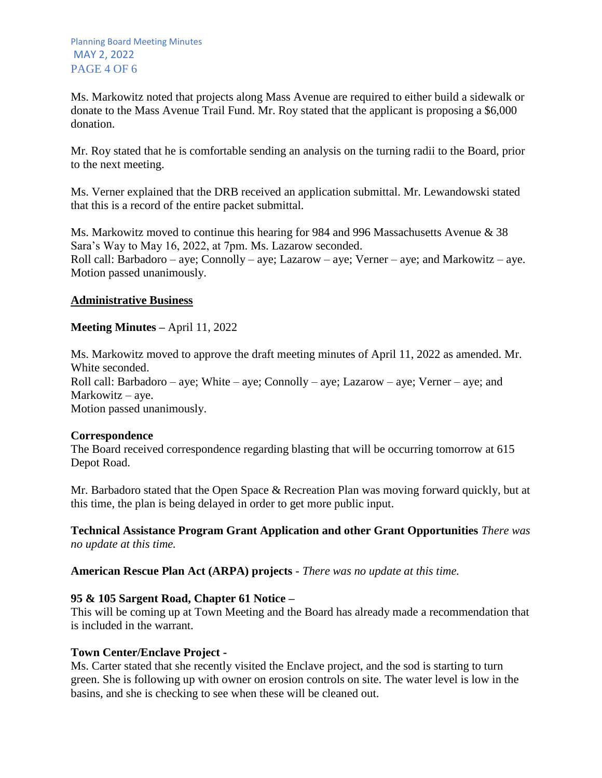Ms. Markowitz noted that projects along Mass Avenue are required to either build a sidewalk or donate to the Mass Avenue Trail Fund. Mr. Roy stated that the applicant is proposing a \$6,000 donation.

Mr. Roy stated that he is comfortable sending an analysis on the turning radii to the Board, prior to the next meeting.

Ms. Verner explained that the DRB received an application submittal. Mr. Lewandowski stated that this is a record of the entire packet submittal.

Ms. Markowitz moved to continue this hearing for 984 and 996 Massachusetts Avenue & 38 Sara's Way to May 16, 2022, at 7pm. Ms. Lazarow seconded. Roll call: Barbadoro – aye; Connolly – aye; Lazarow – aye; Verner – aye; and Markowitz – aye. Motion passed unanimously.

### **Administrative Business**

**Meeting Minutes –** April 11, 2022

Ms. Markowitz moved to approve the draft meeting minutes of April 11, 2022 as amended. Mr. White seconded. Roll call: Barbadoro – aye; White – aye; Connolly – aye; Lazarow – aye; Verner – aye; and Markowitz – aye. Motion passed unanimously.

# **Correspondence**

The Board received correspondence regarding blasting that will be occurring tomorrow at 615 Depot Road.

Mr. Barbadoro stated that the Open Space & Recreation Plan was moving forward quickly, but at this time, the plan is being delayed in order to get more public input.

**Technical Assistance Program Grant Application and other Grant Opportunities** *There was no update at this time.*

**American Rescue Plan Act (ARPA) projects** *- There was no update at this time.*

# **95 & 105 Sargent Road, Chapter 61 Notice –**

This will be coming up at Town Meeting and the Board has already made a recommendation that is included in the warrant.

#### **Town Center/Enclave Project -**

Ms. Carter stated that she recently visited the Enclave project, and the sod is starting to turn green. She is following up with owner on erosion controls on site. The water level is low in the basins, and she is checking to see when these will be cleaned out.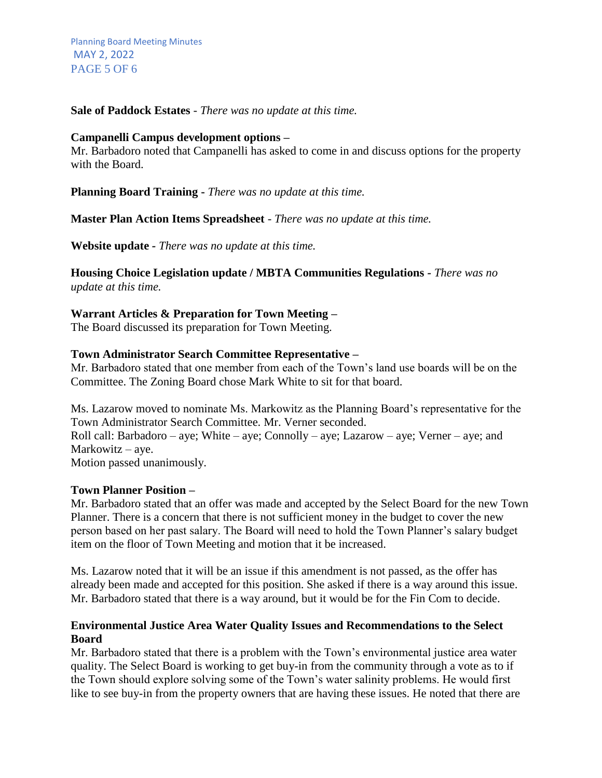**Sale of Paddock Estates** *- There was no update at this time.*

#### **Campanelli Campus development options –**

Mr. Barbadoro noted that Campanelli has asked to come in and discuss options for the property with the Board.

**Planning Board Training -** *There was no update at this time.*

**Master Plan Action Items Spreadsheet** - *There was no update at this time.*

**Website update** *- There was no update at this time.*

**Housing Choice Legislation update / MBTA Communities Regulations** *- There was no update at this time.*

#### **Warrant Articles & Preparation for Town Meeting –**

The Board discussed its preparation for Town Meeting.

#### **Town Administrator Search Committee Representative –**

Mr. Barbadoro stated that one member from each of the Town's land use boards will be on the Committee. The Zoning Board chose Mark White to sit for that board.

Ms. Lazarow moved to nominate Ms. Markowitz as the Planning Board's representative for the Town Administrator Search Committee. Mr. Verner seconded.

Roll call: Barbadoro – aye; White – aye; Connolly – aye; Lazarow – aye; Verner – aye; and Markowitz – aye.

Motion passed unanimously.

#### **Town Planner Position –**

Mr. Barbadoro stated that an offer was made and accepted by the Select Board for the new Town Planner. There is a concern that there is not sufficient money in the budget to cover the new person based on her past salary. The Board will need to hold the Town Planner's salary budget item on the floor of Town Meeting and motion that it be increased.

Ms. Lazarow noted that it will be an issue if this amendment is not passed, as the offer has already been made and accepted for this position. She asked if there is a way around this issue. Mr. Barbadoro stated that there is a way around, but it would be for the Fin Com to decide.

#### **Environmental Justice Area Water Quality Issues and Recommendations to the Select Board**

Mr. Barbadoro stated that there is a problem with the Town's environmental justice area water quality. The Select Board is working to get buy-in from the community through a vote as to if the Town should explore solving some of the Town's water salinity problems. He would first like to see buy-in from the property owners that are having these issues. He noted that there are